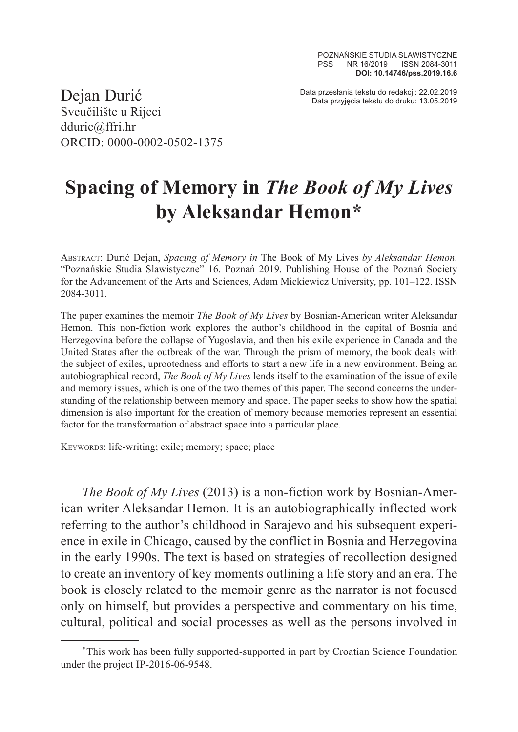Data przesłania tekstu do redakcji: 22.02.2019 Dejan Durić Data przyjęcia tekstu do druku: 13.05.2019

Sveučilište u Rijeci dduric@ffri.hr ORCID: 0000-0002-0502-1375

## **Spacing of Memory in** *The Book of My Lives*  **by Aleksandar Hemon\***

Abstract: Durić Dejan, *Spacing of Memory in* The Book of My Lives *by Aleksandar Hemon*. "Poznańskie Studia Slawistyczne" 16. Poznań 2019. Publishing House of the Poznań Society for the Advancement of the Arts and Sciences, Adam Mickiewicz University, pp. 101–122. ISSN 2084-3011.

The paper examines the memoir *The Book of My Lives* by Bosnian-American writer Aleksandar Hemon. This non-fiction work explores the author's childhood in the capital of Bosnia and Herzegovina before the collapse of Yugoslavia, and then his exile experience in Canada and the United States after the outbreak of the war. Through the prism of memory, the book deals with the subject of exiles, uprootedness and efforts to start a new life in a new environment. Being an autobiographical record, *The Book of My Lives* lends itself to the examination of the issue of exile and memory issues, which is one of the two themes of this paper. The second concerns the understanding of the relationship between memory and space. The paper seeks to show how the spatial dimension is also important for the creation of memory because memories represent an essential factor for the transformation of abstract space into a particular place.

Keywords: life-writing; exile; memory; space; place

*The Book of My Lives* (2013) is a non-fiction work by Bosnian-American writer Aleksandar Hemon. It is an autobiographically inflected work referring to the author's childhood in Sarajevo and his subsequent experience in exile in Chicago, caused by the conflict in Bosnia and Herzegovina in the early 1990s. The text is based on strategies of recollection designed to create an inventory of key moments outlining a life story and an era. The book is closely related to the memoir genre as the narrator is not focused only on himself, but provides a perspective and commentary on his time, cultural, political and social processes as well as the persons involved in

<sup>\*</sup>This work has been fully supported-supported in part by Croatian Science Foundation under the project IP-2016-06-9548.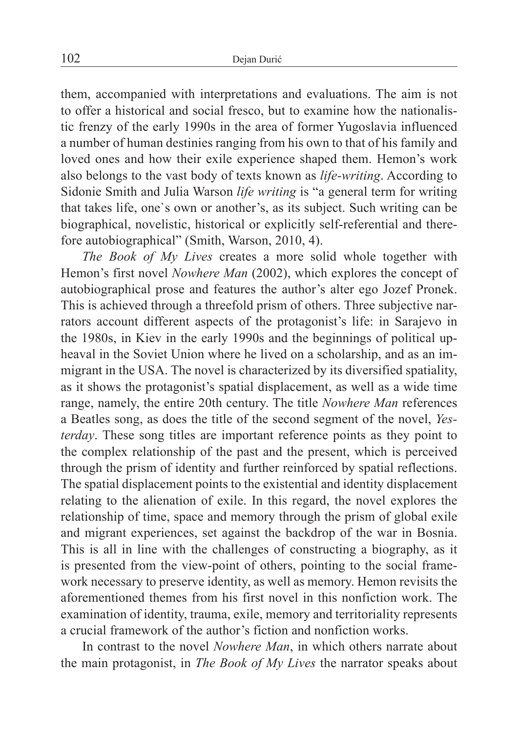them, accompanied with interpretations and evaluations. The aim is not to offer a historical and social fresco, but to examine how the nationalistic frenzy of the early 1990s in the area of former Yugoslavia influenced a number of human destinies ranging from his own to that of his family and loved ones and how their exile experience shaped them. Hemon's work also belongs to the vast body of texts known as *life-writing*. According to Sidonie Smith and Julia Warson *life writing* is "a general term for writing that takes life, one`s own or another's, as its subject. Such writing can be biographical, novelistic, historical or explicitly self-referential and therefore autobiographical" (Smith, Warson, 2010, 4).

*The Book of My Lives* creates a more solid whole together with Hemon's first novel *Nowhere Man* (2002), which explores the concept of autobiographical prose and features the author's alter ego Jozef Pronek. This is achieved through a threefold prism of others. Three subjective narrators account different aspects of the protagonist's life: in Sarajevo in the 1980s, in Kiev in the early 1990s and the beginnings of political upheaval in the Soviet Union where he lived on a scholarship, and as an immigrant in the USA. The novel is characterized by its diversified spatiality, as it shows the protagonist's spatial displacement, as well as a wide time range, namely, the entire 20th century. The title *Nowhere Man* references a Beatles song, as does the title of the second segment of the novel, *Yesterday*. These song titles are important reference points as they point to the complex relationship of the past and the present, which is perceived through the prism of identity and further reinforced by spatial reflections. The spatial displacement points to the existential and identity displacement relating to the alienation of exile. In this regard, the novel explores the relationship of time, space and memory through the prism of global exile and migrant experiences, set against the backdrop of the war in Bosnia. This is all in line with the challenges of constructing a biography, as it is presented from the view-point of others, pointing to the social framework necessary to preserve identity, as well as memory. Hemon revisits the aforementioned themes from his first novel in this nonfiction work. The examination of identity, trauma, exile, memory and territoriality represents a crucial framework of the author's fiction and nonfiction works.

In contrast to the novel *Nowhere Man*, in which others narrate about the main protagonist, in *The Book of My Lives* the narrator speaks about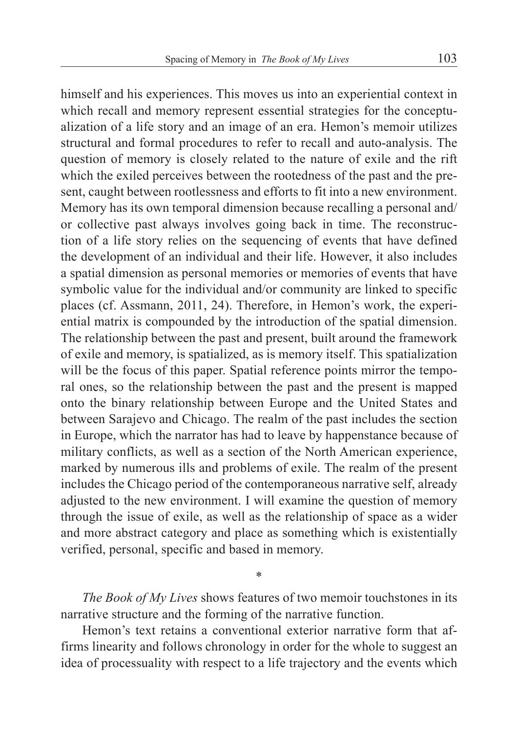himself and his experiences. This moves us into an experiential context in which recall and memory represent essential strategies for the conceptualization of a life story and an image of an era. Hemon's memoir utilizes structural and formal procedures to refer to recall and auto-analysis. The question of memory is closely related to the nature of exile and the rift which the exiled perceives between the rootedness of the past and the present, caught between rootlessness and efforts to fit into a new environment. Memory has its own temporal dimension because recalling a personal and/ or collective past always involves going back in time. The reconstruction of a life story relies on the sequencing of events that have defined the development of an individual and their life. However, it also includes a spatial dimension as personal memories or memories of events that have symbolic value for the individual and/or community are linked to specific places (cf. Assmann, 2011, 24). Therefore, in Hemon's work, the experiential matrix is compounded by the introduction of the spatial dimension. The relationship between the past and present, built around the framework of exile and memory, is spatialized, as is memory itself. This spatialization will be the focus of this paper. Spatial reference points mirror the temporal ones, so the relationship between the past and the present is mapped onto the binary relationship between Europe and the United States and between Sarajevo and Chicago. The realm of the past includes the section in Europe, which the narrator has had to leave by happenstance because of military conflicts, as well as a section of the North American experience, marked by numerous ills and problems of exile. The realm of the present includes the Chicago period of the contemporaneous narrative self, already adjusted to the new environment. I will examine the question of memory through the issue of exile, as well as the relationship of space as a wider and more abstract category and place as something which is existentially verified, personal, specific and based in memory.

*The Book of My Lives* shows features of two memoir touchstones in its narrative structure and the forming of the narrative function.

\*

Hemon's text retains a conventional exterior narrative form that affirms linearity and follows chronology in order for the whole to suggest an idea of processuality with respect to a life trajectory and the events which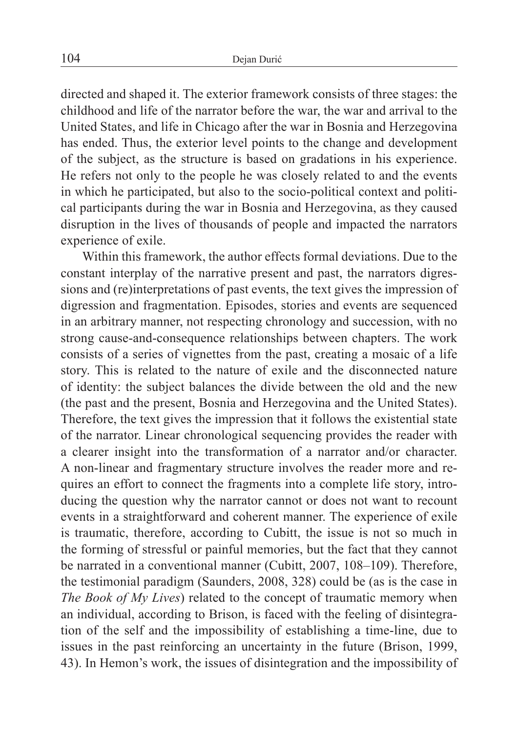directed and shaped it. The exterior framework consists of three stages: the childhood and life of the narrator before the war, the war and arrival to the United States, and life in Chicago after the war in Bosnia and Herzegovina has ended. Thus, the exterior level points to the change and development of the subject, as the structure is based on gradations in his experience. He refers not only to the people he was closely related to and the events in which he participated, but also to the socio-political context and political participants during the war in Bosnia and Herzegovina, as they caused disruption in the lives of thousands of people and impacted the narrators experience of exile.

Within this framework, the author effects formal deviations. Due to the constant interplay of the narrative present and past, the narrators digressions and (re)interpretations of past events, the text gives the impression of digression and fragmentation. Episodes, stories and events are sequenced in an arbitrary manner, not respecting chronology and succession, with no strong cause-and-consequence relationships between chapters. The work consists of a series of vignettes from the past, creating a mosaic of a life story. This is related to the nature of exile and the disconnected nature of identity: the subject balances the divide between the old and the new (the past and the present, Bosnia and Herzegovina and the United States). Therefore, the text gives the impression that it follows the existential state of the narrator. Linear chronological sequencing provides the reader with a clearer insight into the transformation of a narrator and/or character. A non-linear and fragmentary structure involves the reader more and requires an effort to connect the fragments into a complete life story, introducing the question why the narrator cannot or does not want to recount events in a straightforward and coherent manner. The experience of exile is traumatic, therefore, according to Cubitt, the issue is not so much in the forming of stressful or painful memories, but the fact that they cannot be narrated in a conventional manner (Cubitt, 2007, 108–109). Therefore, the testimonial paradigm (Saunders, 2008, 328) could be (as is the case in *The Book of My Lives*) related to the concept of traumatic memory when an individual, according to Brison, is faced with the feeling of disintegration of the self and the impossibility of establishing a time-line, due to issues in the past reinforcing an uncertainty in the future (Brison, 1999, 43). In Hemon's work, the issues of disintegration and the impossibility of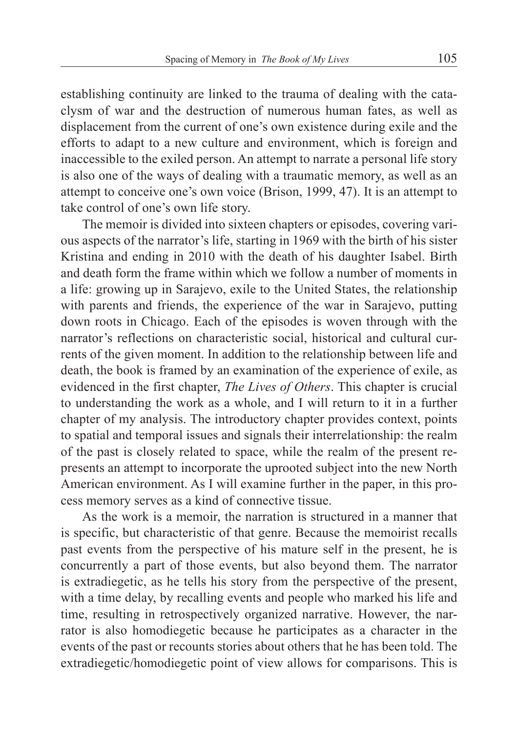establishing continuity are linked to the trauma of dealing with the cataclysm of war and the destruction of numerous human fates, as well as displacement from the current of one's own existence during exile and the efforts to adapt to a new culture and environment, which is foreign and inaccessible to the exiled person. An attempt to narrate a personal life story is also one of the ways of dealing with a traumatic memory, as well as an attempt to conceive one's own voice (Brison, 1999, 47). It is an attempt to take control of one's own life story.

The memoir is divided into sixteen chapters or episodes, covering various aspects of the narrator's life, starting in 1969 with the birth of his sister Kristina and ending in 2010 with the death of his daughter Isabel. Birth and death form the frame within which we follow a number of moments in a life: growing up in Sarajevo, exile to the United States, the relationship with parents and friends, the experience of the war in Sarajevo, putting down roots in Chicago. Each of the episodes is woven through with the narrator's reflections on characteristic social, historical and cultural currents of the given moment. In addition to the relationship between life and death, the book is framed by an examination of the experience of exile, as evidenced in the first chapter, *The Lives of Others*. This chapter is crucial to understanding the work as a whole, and I will return to it in a further chapter of my analysis. The introductory chapter provides context, points to spatial and temporal issues and signals their interrelationship: the realm of the past is closely related to space, while the realm of the present represents an attempt to incorporate the uprooted subject into the new North American environment. As I will examine further in the paper, in this process memory serves as a kind of connective tissue.

As the work is a memoir, the narration is structured in a manner that is specific, but characteristic of that genre. Because the memoirist recalls past events from the perspective of his mature self in the present, he is concurrently a part of those events, but also beyond them. The narrator is extradiegetic, as he tells his story from the perspective of the present, with a time delay, by recalling events and people who marked his life and time, resulting in retrospectively organized narrative. However, the narrator is also homodiegetic because he participates as a character in the events of the past or recounts stories about others that he has been told. The extradiegetic/homodiegetic point of view allows for comparisons. This is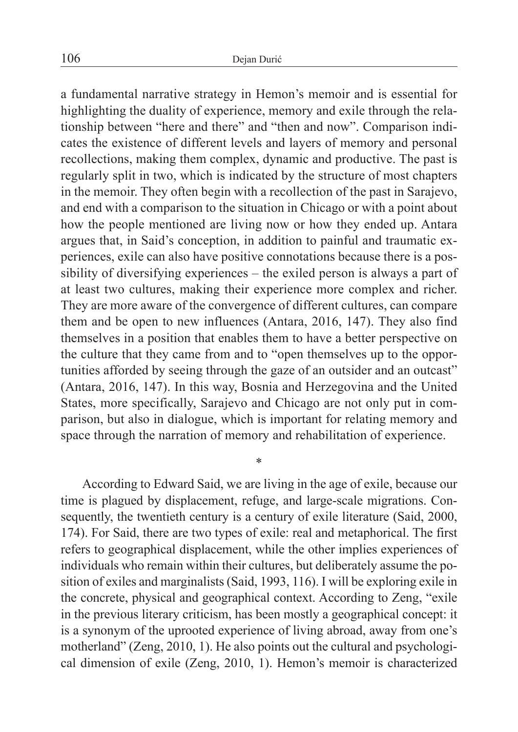a fundamental narrative strategy in Hemon's memoir and is essential for highlighting the duality of experience, memory and exile through the relationship between "here and there" and "then and now". Comparison indicates the existence of different levels and layers of memory and personal recollections, making them complex, dynamic and productive. The past is regularly split in two, which is indicated by the structure of most chapters in the memoir. They often begin with a recollection of the past in Sarajevo, and end with a comparison to the situation in Chicago or with a point about how the people mentioned are living now or how they ended up. Antara argues that, in Said's conception, in addition to painful and traumatic experiences, exile can also have positive connotations because there is a possibility of diversifying experiences – the exiled person is always a part of at least two cultures, making their experience more complex and richer. They are more aware of the convergence of different cultures, can compare them and be open to new influences (Antara, 2016, 147). They also find themselves in a position that enables them to have a better perspective on the culture that they came from and to "open themselves up to the opportunities afforded by seeing through the gaze of an outsider and an outcast" (Antara, 2016, 147). In this way, Bosnia and Herzegovina and the United States, more specifically, Sarajevo and Chicago are not only put in comparison, but also in dialogue, which is important for relating memory and space through the narration of memory and rehabilitation of experience.

According to Edward Said, we are living in the age of exile, because our time is plagued by displacement, refuge, and large-scale migrations. Consequently, the twentieth century is a century of exile literature (Said, 2000, 174). For Said, there are two types of exile: real and metaphorical. The first refers to geographical displacement, while the other implies experiences of individuals who remain within their cultures, but deliberately assume the position of exiles and marginalists (Said, 1993, 116). I will be exploring exile in the concrete, physical and geographical context. According to Zeng, "exile in the previous literary criticism, has been mostly a geographical concept: it is a synonym of the uprooted experience of living abroad, away from one's motherland" (Zeng, 2010, 1). He also points out the cultural and psychological dimension of exile (Zeng, 2010, 1). Hemon's memoir is characterized

\*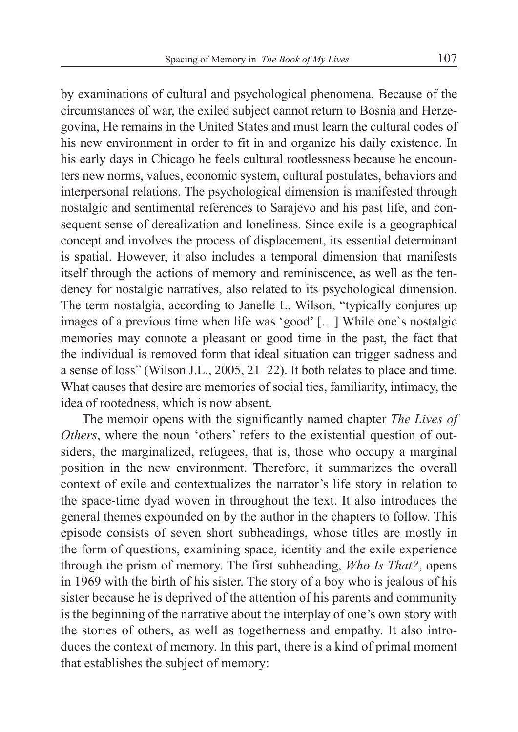by examinations of cultural and psychological phenomena. Because of the circumstances of war, the exiled subject cannot return to Bosnia and Herzegovina, He remains in the United States and must learn the cultural codes of his new environment in order to fit in and organize his daily existence. In his early days in Chicago he feels cultural rootlessness because he encounters new norms, values, economic system, cultural postulates, behaviors and interpersonal relations. The psychological dimension is manifested through nostalgic and sentimental references to Sarajevo and his past life, and consequent sense of derealization and loneliness. Since exile is a geographical concept and involves the process of displacement, its essential determinant is spatial. However, it also includes a temporal dimension that manifests itself through the actions of memory and reminiscence, as well as the tendency for nostalgic narratives, also related to its psychological dimension. The term nostalgia, according to Janelle L. Wilson, "typically conjures up images of a previous time when life was 'good' […] While one`s nostalgic memories may connote a pleasant or good time in the past, the fact that the individual is removed form that ideal situation can trigger sadness and a sense of loss" (Wilson J.L., 2005, 21–22). It both relates to place and time. What causes that desire are memories of social ties, familiarity, intimacy, the idea of rootedness, which is now absent.

The memoir opens with the significantly named chapter *The Lives of Others*, where the noun 'others' refers to the existential question of outsiders, the marginalized, refugees, that is, those who occupy a marginal position in the new environment. Therefore, it summarizes the overall context of exile and contextualizes the narrator's life story in relation to the space-time dyad woven in throughout the text. It also introduces the general themes expounded on by the author in the chapters to follow. This episode consists of seven short subheadings, whose titles are mostly in the form of questions, examining space, identity and the exile experience through the prism of memory. The first subheading, *Who Is That?*, opens in 1969 with the birth of his sister. The story of a boy who is jealous of his sister because he is deprived of the attention of his parents and community is the beginning of the narrative about the interplay of one's own story with the stories of others, as well as togetherness and empathy. It also introduces the context of memory. In this part, there is a kind of primal moment that establishes the subject of memory: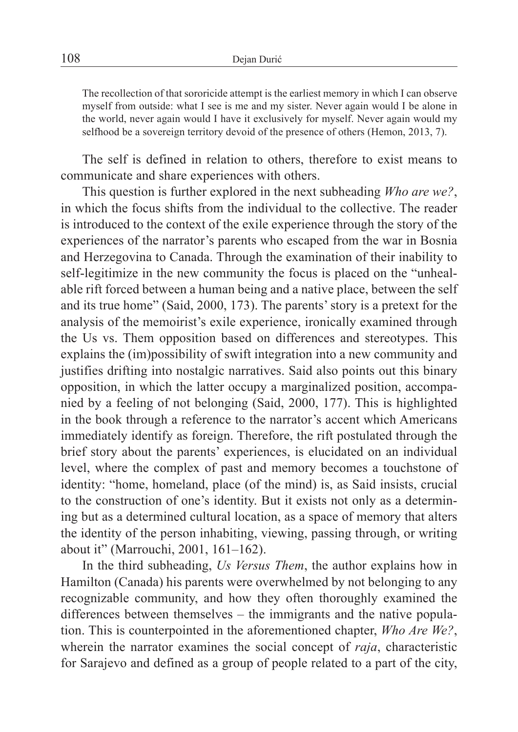The recollection of that sororicide attempt is the earliest memory in which I can observe myself from outside: what I see is me and my sister. Never again would I be alone in the world, never again would I have it exclusively for myself. Never again would my selfhood be a sovereign territory devoid of the presence of others (Hemon, 2013, 7).

The self is defined in relation to others, therefore to exist means to communicate and share experiences with others.

This question is further explored in the next subheading *Who are we?*, in which the focus shifts from the individual to the collective. The reader is introduced to the context of the exile experience through the story of the experiences of the narrator's parents who escaped from the war in Bosnia and Herzegovina to Canada. Through the examination of their inability to self-legitimize in the new community the focus is placed on the "unhealable rift forced between a human being and a native place, between the self and its true home" (Said, 2000, 173). The parents' story is a pretext for the analysis of the memoirist's exile experience, ironically examined through the Us vs. Them opposition based on differences and stereotypes. This explains the (im)possibility of swift integration into a new community and justifies drifting into nostalgic narratives. Said also points out this binary opposition, in which the latter occupy a marginalized position, accompanied by a feeling of not belonging (Said, 2000, 177). This is highlighted in the book through a reference to the narrator's accent which Americans immediately identify as foreign. Therefore, the rift postulated through the brief story about the parents' experiences, is elucidated on an individual level, where the complex of past and memory becomes a touchstone of identity: "home, homeland, place (of the mind) is, as Said insists, crucial to the construction of one's identity. But it exists not only as a determining but as a determined cultural location, as a space of memory that alters the identity of the person inhabiting, viewing, passing through, or writing about it" (Marrouchi, 2001, 161–162).

In the third subheading, *Us Versus Them*, the author explains how in Hamilton (Canada) his parents were overwhelmed by not belonging to any recognizable community, and how they often thoroughly examined the differences between themselves – the immigrants and the native population. This is counterpointed in the aforementioned chapter, *Who Are We?*, wherein the narrator examines the social concept of *raja*, characteristic for Sarajevo and defined as a group of people related to a part of the city,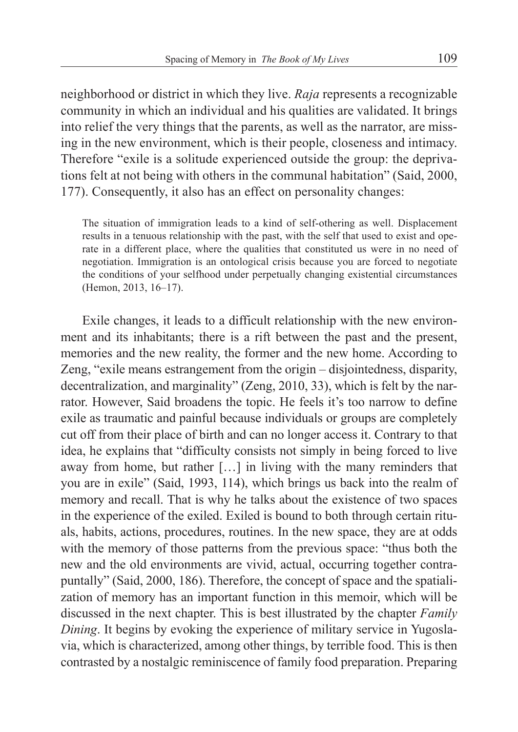neighborhood or district in which they live. *Raja* represents a recognizable community in which an individual and his qualities are validated. It brings into relief the very things that the parents, as well as the narrator, are missing in the new environment, which is their people, closeness and intimacy. Therefore "exile is a solitude experienced outside the group: the deprivations felt at not being with others in the communal habitation" (Said, 2000, 177). Consequently, it also has an effect on personality changes:

The situation of immigration leads to a kind of self-othering as well. Displacement results in a tenuous relationship with the past, with the self that used to exist and operate in a different place, where the qualities that constituted us were in no need of negotiation. Immigration is an ontological crisis because you are forced to negotiate the conditions of your selfhood under perpetually changing existential circumstances (Hemon, 2013, 16–17).

Exile changes, it leads to a difficult relationship with the new environment and its inhabitants; there is a rift between the past and the present, memories and the new reality, the former and the new home. According to Zeng, "exile means estrangement from the origin – disjointedness, disparity, decentralization, and marginality" (Zeng, 2010, 33), which is felt by the narrator. However, Said broadens the topic. He feels it's too narrow to define exile as traumatic and painful because individuals or groups are completely cut off from their place of birth and can no longer access it. Contrary to that idea, he explains that "difficulty consists not simply in being forced to live away from home, but rather […] in living with the many reminders that you are in exile" (Said, 1993, 114), which brings us back into the realm of memory and recall. That is why he talks about the existence of two spaces in the experience of the exiled. Exiled is bound to both through certain rituals, habits, actions, procedures, routines. In the new space, they are at odds with the memory of those patterns from the previous space: "thus both the new and the old environments are vivid, actual, occurring together contrapuntally" (Said, 2000, 186). Therefore, the concept of space and the spatialization of memory has an important function in this memoir, which will be discussed in the next chapter. This is best illustrated by the chapter *Family Dining*. It begins by evoking the experience of military service in Yugoslavia, which is characterized, among other things, by terrible food. This is then contrasted by a nostalgic reminiscence of family food preparation. Preparing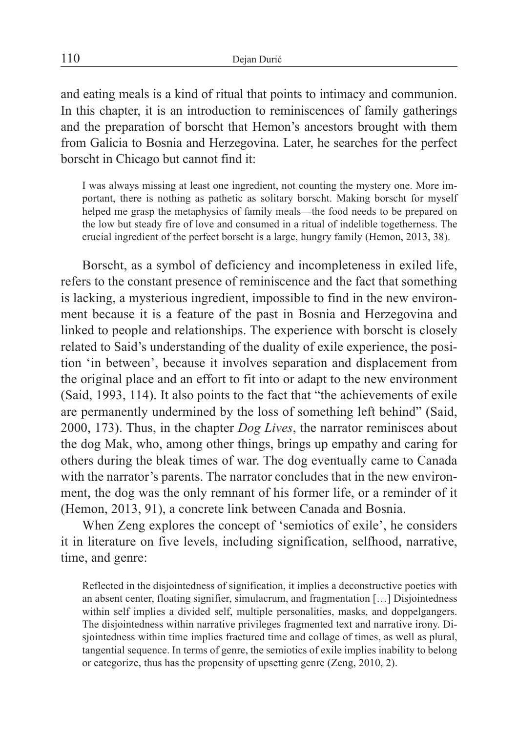and eating meals is a kind of ritual that points to intimacy and communion. In this chapter, it is an introduction to reminiscences of family gatherings and the preparation of borscht that Hemon's ancestors brought with them from Galicia to Bosnia and Herzegovina. Later, he searches for the perfect borscht in Chicago but cannot find it:

I was always missing at least one ingredient, not counting the mystery one. More important, there is nothing as pathetic as solitary borscht. Making borscht for myself helped me grasp the metaphysics of family meals—the food needs to be prepared on the low but steady fire of love and consumed in a ritual of indelible togetherness. The crucial ingredient of the perfect borscht is a large, hungry family (Hemon, 2013, 38).

Borscht, as a symbol of deficiency and incompleteness in exiled life, refers to the constant presence of reminiscence and the fact that something is lacking, a mysterious ingredient, impossible to find in the new environment because it is a feature of the past in Bosnia and Herzegovina and linked to people and relationships. The experience with borscht is closely related to Said's understanding of the duality of exile experience, the position 'in between', because it involves separation and displacement from the original place and an effort to fit into or adapt to the new environment (Said, 1993, 114). It also points to the fact that "the achievements of exile are permanently undermined by the loss of something left behind" (Said, 2000, 173). Thus, in the chapter *Dog Lives*, the narrator reminisces about the dog Mak, who, among other things, brings up empathy and caring for others during the bleak times of war. The dog eventually came to Canada with the narrator's parents. The narrator concludes that in the new environment, the dog was the only remnant of his former life, or a reminder of it (Hemon, 2013, 91), a concrete link between Canada and Bosnia.

When Zeng explores the concept of 'semiotics of exile', he considers it in literature on five levels, including signification, selfhood, narrative, time, and genre:

Reflected in the disjointedness of signification, it implies a deconstructive poetics with an absent center, floating signifier, simulacrum, and fragmentation […] Disjointedness within self implies a divided self, multiple personalities, masks, and doppelgangers. The disjointedness within narrative privileges fragmented text and narrative irony. Disjointedness within time implies fractured time and collage of times, as well as plural, tangential sequence. In terms of genre, the semiotics of exile implies inability to belong or categorize, thus has the propensity of upsetting genre (Zeng, 2010, 2).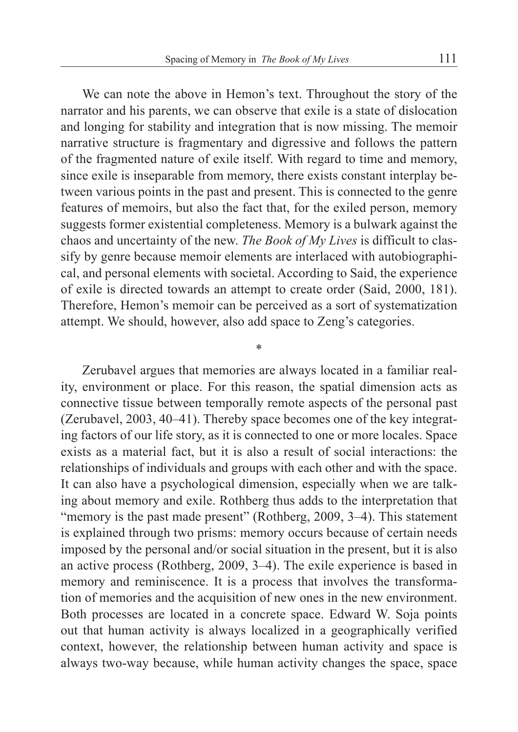We can note the above in Hemon's text. Throughout the story of the narrator and his parents, we can observe that exile is a state of dislocation and longing for stability and integration that is now missing. The memoir narrative structure is fragmentary and digressive and follows the pattern of the fragmented nature of exile itself. With regard to time and memory, since exile is inseparable from memory, there exists constant interplay between various points in the past and present. This is connected to the genre features of memoirs, but also the fact that, for the exiled person, memory suggests former existential completeness. Memory is a bulwark against the chaos and uncertainty of the new. *The Book of My Lives* is difficult to classify by genre because memoir elements are interlaced with autobiographical, and personal elements with societal. According to Said, the experience of exile is directed towards an attempt to create order (Said, 2000, 181). Therefore, Hemon's memoir can be perceived as a sort of systematization attempt. We should, however, also add space to Zeng's categories.

\*

Zerubavel argues that memories are always located in a familiar reality, environment or place. For this reason, the spatial dimension acts as connective tissue between temporally remote aspects of the personal past (Zerubavel, 2003, 40–41). Thereby space becomes one of the key integrating factors of our life story, as it is connected to one or more locales. Space exists as a material fact, but it is also a result of social interactions: the relationships of individuals and groups with each other and with the space. It can also have a psychological dimension, especially when we are talking about memory and exile. Rothberg thus adds to the interpretation that "memory is the past made present" (Rothberg, 2009, 3–4). This statement is explained through two prisms: memory occurs because of certain needs imposed by the personal and/or social situation in the present, but it is also an active process (Rothberg, 2009, 3–4). The exile experience is based in memory and reminiscence. It is a process that involves the transformation of memories and the acquisition of new ones in the new environment. Both processes are located in a concrete space. Edward W. Soja points out that human activity is always localized in a geographically verified context, however, the relationship between human activity and space is always two-way because, while human activity changes the space, space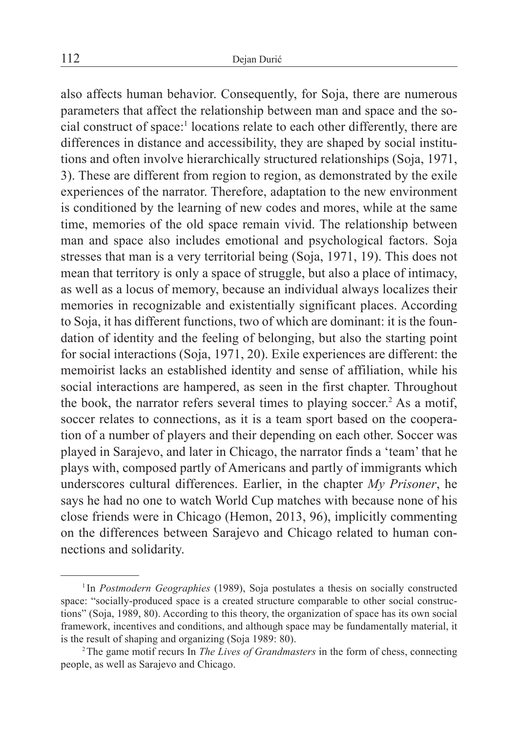also affects human behavior. Consequently, for Soja, there are numerous parameters that affect the relationship between man and space and the social construct of space:1 locations relate to each other differently, there are differences in distance and accessibility, they are shaped by social institutions and often involve hierarchically structured relationships (Soja, 1971, 3). These are different from region to region, as demonstrated by the exile experiences of the narrator. Therefore, adaptation to the new environment is conditioned by the learning of new codes and mores, while at the same time, memories of the old space remain vivid. The relationship between man and space also includes emotional and psychological factors. Soja stresses that man is a very territorial being (Soja, 1971, 19). This does not mean that territory is only a space of struggle, but also a place of intimacy, as well as a locus of memory, because an individual always localizes their memories in recognizable and existentially significant places. According to Soja, it has different functions, two of which are dominant: it is the foundation of identity and the feeling of belonging, but also the starting point for social interactions (Soja, 1971, 20). Exile experiences are different: the memoirist lacks an established identity and sense of affiliation, while his social interactions are hampered, as seen in the first chapter. Throughout the book, the narrator refers several times to playing soccer.<sup>2</sup> As a motif, soccer relates to connections, as it is a team sport based on the cooperation of a number of players and their depending on each other. Soccer was played in Sarajevo, and later in Chicago, the narrator finds a 'team' that he plays with, composed partly of Americans and partly of immigrants which underscores cultural differences. Earlier, in the chapter *My Prisoner*, he says he had no one to watch World Cup matches with because none of his close friends were in Chicago (Hemon, 2013, 96), implicitly commenting on the differences between Sarajevo and Chicago related to human connections and solidarity.

<sup>1</sup> In *Postmodern Geographies* (1989), Soja postulates a thesis on socially constructed space: "socially-produced space is a created structure comparable to other social constructions" (Soja, 1989, 80). According to this theory, the organization of space has its own social framework, incentives and conditions, and although space may be fundamentally material, it is the result of shaping and organizing (Soja 1989: 80).

<sup>2</sup>The game motif recurs In *The Lives of Grandmasters* in the form of chess, connecting people, as well as Sarajevo and Chicago.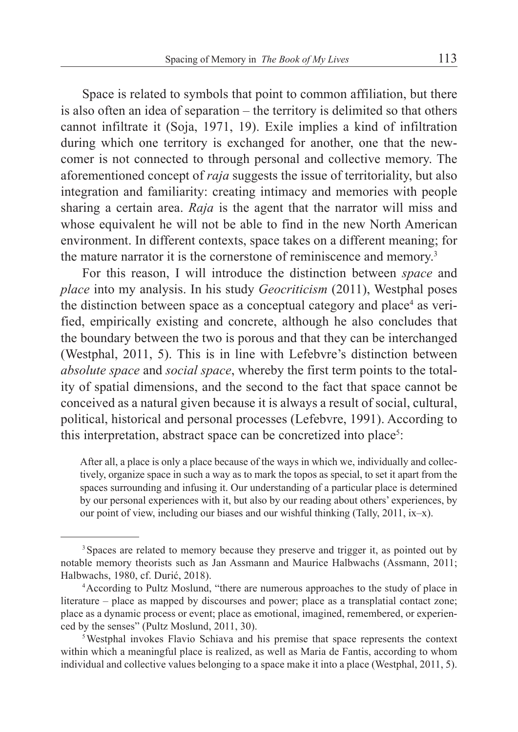Space is related to symbols that point to common affiliation, but there is also often an idea of separation – the territory is delimited so that others cannot infiltrate it (Soja, 1971, 19). Exile implies a kind of infiltration during which one territory is exchanged for another, one that the newcomer is not connected to through personal and collective memory. The aforementioned concept of *raja* suggests the issue of territoriality, but also integration and familiarity: creating intimacy and memories with people sharing a certain area. *Raja* is the agent that the narrator will miss and whose equivalent he will not be able to find in the new North American environment. In different contexts, space takes on a different meaning; for the mature narrator it is the cornerstone of reminiscence and memory.3

For this reason, I will introduce the distinction between *space* and *place* into my analysis. In his study *Geocriticism* (2011), Westphal poses the distinction between space as a conceptual category and place<sup>4</sup> as verified, empirically existing and concrete, although he also concludes that the boundary between the two is porous and that they can be interchanged (Westphal, 2011, 5). This is in line with Lefebvre's distinction between *absolute space* and *social space*, whereby the first term points to the totality of spatial dimensions, and the second to the fact that space cannot be conceived as a natural given because it is always a result of social, cultural, political, historical and personal processes (Lefebvre, 1991). According to this interpretation, abstract space can be concretized into place<sup>5</sup>:

After all, a place is only a place because of the ways in which we, individually and collectively, organize space in such a way as to mark the topos as special, to set it apart from the spaces surrounding and infusing it. Our understanding of a particular place is determined by our personal experiences with it, but also by our reading about others' experiences, by our point of view, including our biases and our wishful thinking (Tally, 2011, ix–x).

<sup>&</sup>lt;sup>3</sup> Spaces are related to memory because they preserve and trigger it, as pointed out by notable memory theorists such as Jan Assmann and Maurice Halbwachs (Assmann, 2011; Halbwachs, 1980, cf. Durić, 2018).

<sup>4</sup>According to Pultz Moslund, "there are numerous approaches to the study of place in literature – place as mapped by discourses and power; place as a transplatial contact zone; place as a dynamic process or event; place as emotional, imagined, remembered, or experienced by the senses" (Pultz Moslund, 2011, 30).

<sup>&</sup>lt;sup>5</sup>Westphal invokes Flavio Schiava and his premise that space represents the context within which a meaningful place is realized, as well as Maria de Fantis, according to whom individual and collective values belonging to a space make it into a place (Westphal, 2011, 5).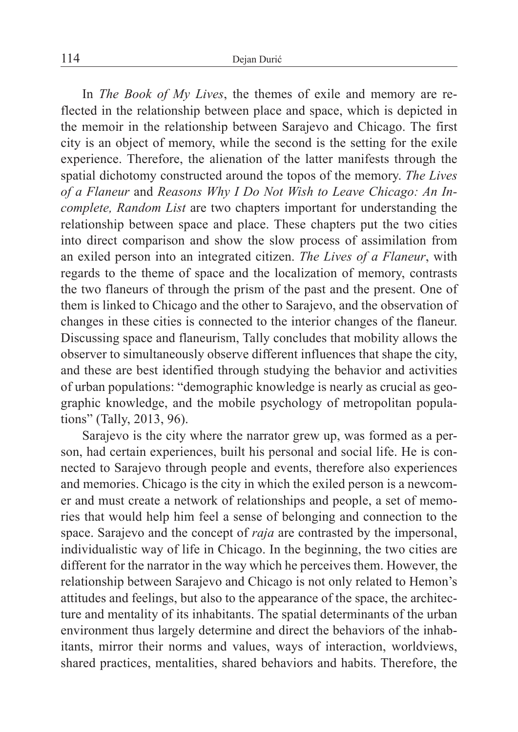In *The Book of My Lives*, the themes of exile and memory are reflected in the relationship between place and space, which is depicted in the memoir in the relationship between Sarajevo and Chicago. The first city is an object of memory, while the second is the setting for the exile experience. Therefore, the alienation of the latter manifests through the spatial dichotomy constructed around the topos of the memory. *The Lives of a Flaneur* and *Reasons Why I Do Not Wish to Leave Chicago: An Incomplete, Random List* are two chapters important for understanding the relationship between space and place. These chapters put the two cities into direct comparison and show the slow process of assimilation from an exiled person into an integrated citizen. *The Lives of a Flaneur*, with regards to the theme of space and the localization of memory, contrasts the two flaneurs of through the prism of the past and the present. One of them is linked to Chicago and the other to Sarajevo, and the observation of changes in these cities is connected to the interior changes of the flaneur. Discussing space and flaneurism, Tally concludes that mobility allows the observer to simultaneously observe different influences that shape the city, and these are best identified through studying the behavior and activities of urban populations: "demographic knowledge is nearly as crucial as geographic knowledge, and the mobile psychology of metropolitan populations" (Tally, 2013, 96).

Sarajevo is the city where the narrator grew up, was formed as a person, had certain experiences, built his personal and social life. He is connected to Sarajevo through people and events, therefore also experiences and memories. Chicago is the city in which the exiled person is a newcomer and must create a network of relationships and people, a set of memories that would help him feel a sense of belonging and connection to the space. Sarajevo and the concept of *raja* are contrasted by the impersonal, individualistic way of life in Chicago. In the beginning, the two cities are different for the narrator in the way which he perceives them. However, the relationship between Sarajevo and Chicago is not only related to Hemon's attitudes and feelings, but also to the appearance of the space, the architecture and mentality of its inhabitants. The spatial determinants of the urban environment thus largely determine and direct the behaviors of the inhabitants, mirror their norms and values, ways of interaction, worldviews, shared practices, mentalities, shared behaviors and habits. Therefore, the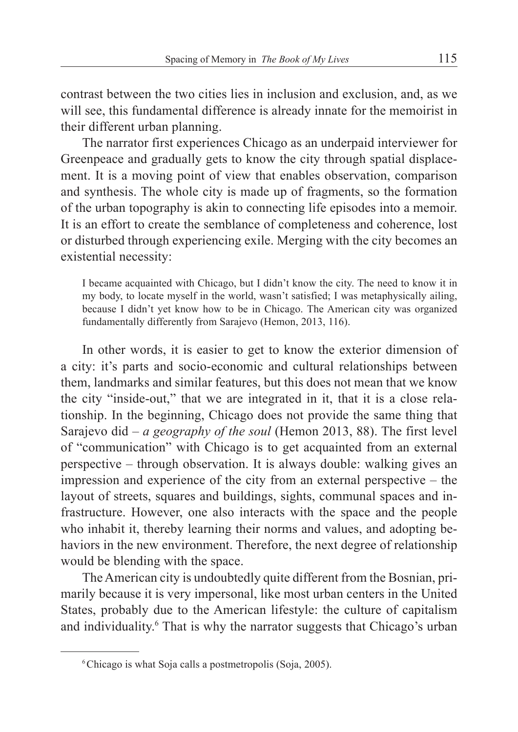contrast between the two cities lies in inclusion and exclusion, and, as we will see, this fundamental difference is already innate for the memoirist in their different urban planning.

The narrator first experiences Chicago as an underpaid interviewer for Greenpeace and gradually gets to know the city through spatial displacement. It is a moving point of view that enables observation, comparison and synthesis. The whole city is made up of fragments, so the formation of the urban topography is akin to connecting life episodes into a memoir. It is an effort to create the semblance of completeness and coherence, lost or disturbed through experiencing exile. Merging with the city becomes an existential necessity:

I became acquainted with Chicago, but I didn't know the city. The need to know it in my body, to locate myself in the world, wasn't satisfied; I was metaphysically ailing, because I didn't yet know how to be in Chicago. The American city was organized fundamentally differently from Sarajevo (Hemon, 2013, 116).

In other words, it is easier to get to know the exterior dimension of a city: it's parts and socio-economic and cultural relationships between them, landmarks and similar features, but this does not mean that we know the city "inside-out," that we are integrated in it, that it is a close relationship. In the beginning, Chicago does not provide the same thing that Sarajevo did – *a geography of the soul* (Hemon 2013, 88). The first level of "communication" with Chicago is to get acquainted from an external perspective – through observation. It is always double: walking gives an impression and experience of the city from an external perspective – the layout of streets, squares and buildings, sights, communal spaces and infrastructure. However, one also interacts with the space and the people who inhabit it, thereby learning their norms and values, and adopting behaviors in the new environment. Therefore, the next degree of relationship would be blending with the space.

The American city is undoubtedly quite different from the Bosnian, primarily because it is very impersonal, like most urban centers in the United States, probably due to the American lifestyle: the culture of capitalism and individuality.<sup>6</sup> That is why the narrator suggests that Chicago's urban

<sup>&</sup>lt;sup>6</sup>Chicago is what Soja calls a postmetropolis (Soja, 2005).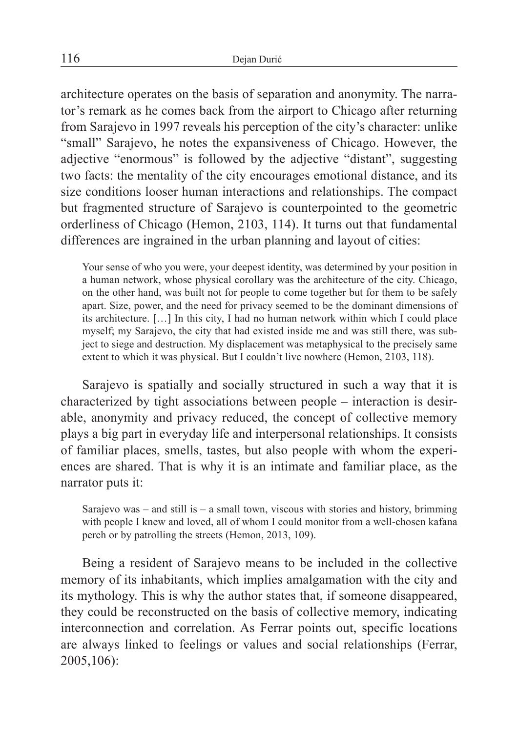architecture operates on the basis of separation and anonymity. The narrator's remark as he comes back from the airport to Chicago after returning from Sarajevo in 1997 reveals his perception of the city's character: unlike "small" Sarajevo, he notes the expansiveness of Chicago. However, the adjective "enormous" is followed by the adjective "distant", suggesting two facts: the mentality of the city encourages emotional distance, and its size conditions looser human interactions and relationships. The compact but fragmented structure of Sarajevo is counterpointed to the geometric orderliness of Chicago (Hemon, 2103, 114). It turns out that fundamental differences are ingrained in the urban planning and layout of cities:

Your sense of who you were, your deepest identity, was determined by your position in a human network, whose physical corollary was the architecture of the city. Chicago, on the other hand, was built not for people to come together but for them to be safely apart. Size, power, and the need for privacy seemed to be the dominant dimensions of its architecture. […] In this city, I had no human network within which I could place myself; my Sarajevo, the city that had existed inside me and was still there, was subject to siege and destruction. My displacement was metaphysical to the precisely same extent to which it was physical. But I couldn't live nowhere (Hemon, 2103, 118).

Sarajevo is spatially and socially structured in such a way that it is characterized by tight associations between people – interaction is desirable, anonymity and privacy reduced, the concept of collective memory plays a big part in everyday life and interpersonal relationships. It consists of familiar places, smells, tastes, but also people with whom the experiences are shared. That is why it is an intimate and familiar place, as the narrator puts it:

Sarajevo was – and still is – a small town, viscous with stories and history, brimming with people I knew and loved, all of whom I could monitor from a well-chosen kafana perch or by patrolling the streets (Hemon, 2013, 109).

Being a resident of Sarajevo means to be included in the collective memory of its inhabitants, which implies amalgamation with the city and its mythology. This is why the author states that, if someone disappeared, they could be reconstructed on the basis of collective memory, indicating interconnection and correlation. As Ferrar points out, specific locations are always linked to feelings or values and social relationships (Ferrar, 2005,106):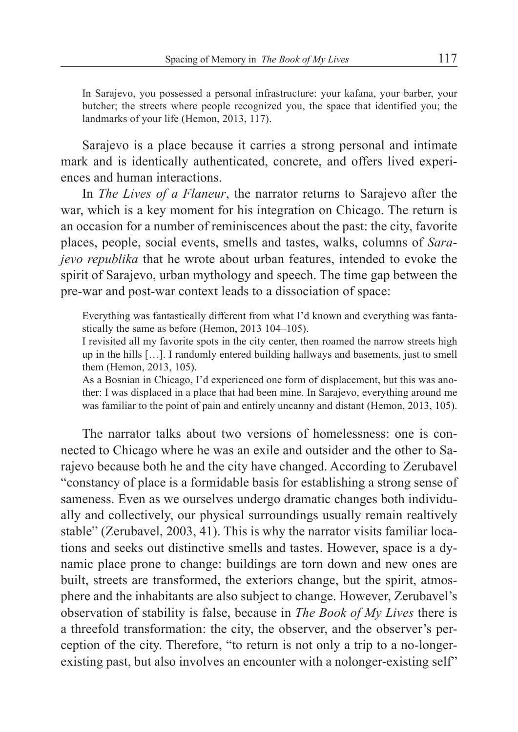In Sarajevo, you possessed a personal infrastructure: your kafana, your barber, your butcher; the streets where people recognized you, the space that identified you; the landmarks of your life (Hemon, 2013, 117).

Sarajevo is a place because it carries a strong personal and intimate mark and is identically authenticated, concrete, and offers lived experiences and human interactions.

In *The Lives of a Flaneur*, the narrator returns to Sarajevo after the war, which is a key moment for his integration on Chicago. The return is an occasion for a number of reminiscences about the past: the city, favorite places, people, social events, smells and tastes, walks, columns of *Sarajevo republika* that he wrote about urban features, intended to evoke the spirit of Sarajevo, urban mythology and speech. The time gap between the pre-war and post-war context leads to a dissociation of space:

Everything was fantastically different from what I'd known and everything was fantastically the same as before (Hemon, 2013 104–105).

I revisited all my favorite spots in the city center, then roamed the narrow streets high up in the hills […]. I randomly entered building hallways and basements, just to smell them (Hemon, 2013, 105).

As a Bosnian in Chicago, I'd experienced one form of displacement, but this was another: I was displaced in a place that had been mine. In Sarajevo, everything around me was familiar to the point of pain and entirely uncanny and distant (Hemon, 2013, 105).

The narrator talks about two versions of homelessness: one is connected to Chicago where he was an exile and outsider and the other to Sarajevo because both he and the city have changed. According to Zerubavel "constancy of place is a formidable basis for establishing a strong sense of sameness. Even as we ourselves undergo dramatic changes both individually and collectively, our physical surroundings usually remain realtively stable" (Zerubavel, 2003, 41). This is why the narrator visits familiar locations and seeks out distinctive smells and tastes. However, space is a dynamic place prone to change: buildings are torn down and new ones are built, streets are transformed, the exteriors change, but the spirit, atmosphere and the inhabitants are also subject to change. However, Zerubavel's observation of stability is false, because in *The Book of My Lives* there is a threefold transformation: the city, the observer, and the observer's perception of the city. Therefore, "to return is not only a trip to a no-longerexisting past, but also involves an encounter with a nolonger-existing self"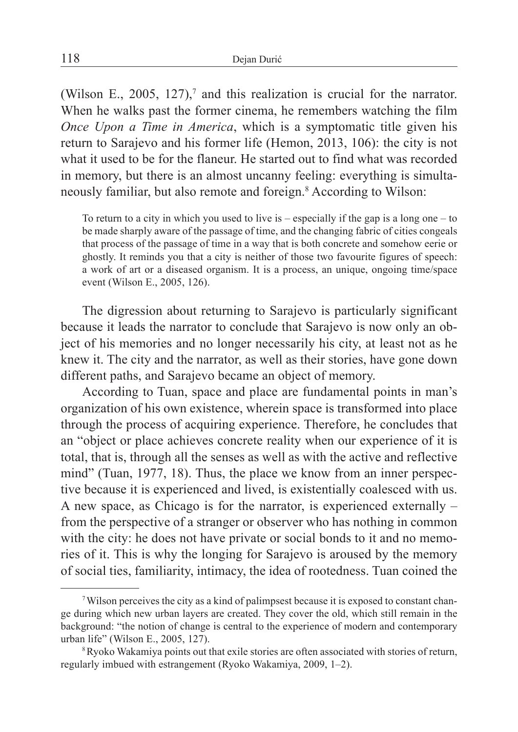(Wilson E., 2005, 127),<sup>7</sup> and this realization is crucial for the narrator. When he walks past the former cinema, he remembers watching the film *Once Upon a Time in America*, which is a symptomatic title given his return to Sarajevo and his former life (Hemon, 2013, 106): the city is not what it used to be for the flaneur. He started out to find what was recorded in memory, but there is an almost uncanny feeling: everything is simultaneously familiar, but also remote and foreign.8 According to Wilson:

To return to a city in which you used to live is – especially if the gap is a long one – to be made sharply aware of the passage of time, and the changing fabric of cities congeals that process of the passage of time in a way that is both concrete and somehow eerie or ghostly. It reminds you that a city is neither of those two favourite figures of speech: a work of art or a diseased organism. It is a process, an unique, ongoing time/space event (Wilson E., 2005, 126).

The digression about returning to Sarajevo is particularly significant because it leads the narrator to conclude that Sarajevo is now only an object of his memories and no longer necessarily his city, at least not as he knew it. The city and the narrator, as well as their stories, have gone down different paths, and Sarajevo became an object of memory.

According to Tuan, space and place are fundamental points in man's organization of his own existence, wherein space is transformed into place through the process of acquiring experience. Therefore, he concludes that an "object or place achieves concrete reality when our experience of it is total, that is, through all the senses as well as with the active and reflective mind" (Tuan, 1977, 18). Thus, the place we know from an inner perspective because it is experienced and lived, is existentially coalesced with us. A new space, as Chicago is for the narrator, is experienced externally – from the perspective of a stranger or observer who has nothing in common with the city: he does not have private or social bonds to it and no memories of it. This is why the longing for Sarajevo is aroused by the memory of social ties, familiarity, intimacy, the idea of rootedness. Tuan coined the

<sup>7</sup>Wilson perceives the city as a kind of palimpsest because it is exposed to constant change during which new urban layers are created. They cover the old, which still remain in the background: "the notion of change is central to the experience of modern and contemporary urban life" (Wilson E., 2005, 127).

<sup>&</sup>lt;sup>8</sup>Ryoko Wakamiya points out that exile stories are often associated with stories of return, regularly imbued with estrangement (Ryoko Wakamiya, 2009, 1–2).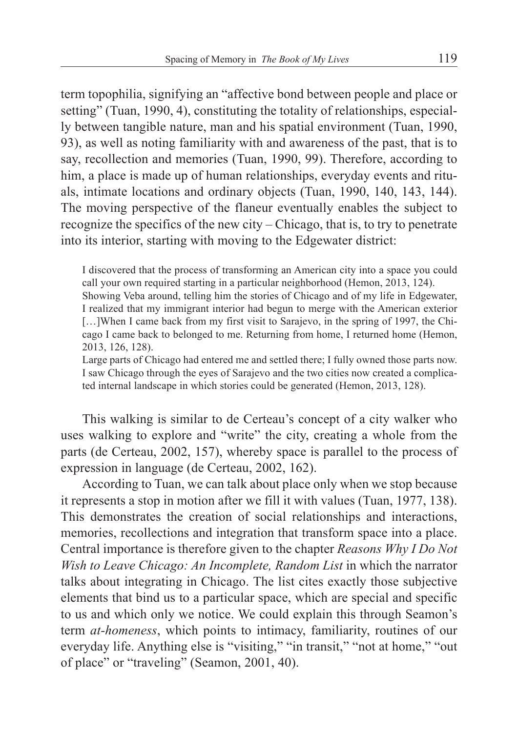term topophilia, signifying an "affective bond between people and place or setting" (Tuan, 1990, 4), constituting the totality of relationships, especially between tangible nature, man and his spatial environment (Tuan, 1990, 93), as well as noting familiarity with and awareness of the past, that is to say, recollection and memories (Tuan, 1990, 99). Therefore, according to him, a place is made up of human relationships, everyday events and rituals, intimate locations and ordinary objects (Tuan, 1990, 140, 143, 144). The moving perspective of the flaneur eventually enables the subject to recognize the specifics of the new city – Chicago, that is, to try to penetrate into its interior, starting with moving to the Edgewater district:

I discovered that the process of transforming an American city into a space you could call your own required starting in a particular neighborhood (Hemon, 2013, 124).

Showing Veba around, telling him the stories of Chicago and of my life in Edgewater, I realized that my immigrant interior had begun to merge with the American exterior [...]When I came back from my first visit to Sarajevo, in the spring of 1997, the Chicago I came back to belonged to me. Returning from home, I returned home (Hemon, 2013, 126, 128).

Large parts of Chicago had entered me and settled there; I fully owned those parts now. I saw Chicago through the eyes of Sarajevo and the two cities now created a complicated internal landscape in which stories could be generated (Hemon, 2013, 128).

This walking is similar to de Certeau's concept of a city walker who uses walking to explore and "write" the city, creating a whole from the parts (de Certeau, 2002, 157), whereby space is parallel to the process of expression in language (de Certeau, 2002, 162).

According to Tuan, we can talk about place only when we stop because it represents a stop in motion after we fill it with values (Tuan, 1977, 138). This demonstrates the creation of social relationships and interactions, memories, recollections and integration that transform space into a place. Central importance is therefore given to the chapter *Reasons Why I Do Not Wish to Leave Chicago: An Incomplete, Random List* in which the narrator talks about integrating in Chicago. The list cites exactly those subjective elements that bind us to a particular space, which are special and specific to us and which only we notice. We could explain this through Seamon's term *at-homeness*, which points to intimacy, familiarity, routines of our everyday life. Anything else is "visiting," "in transit," "not at home," "out of place" or "traveling" (Seamon, 2001, 40).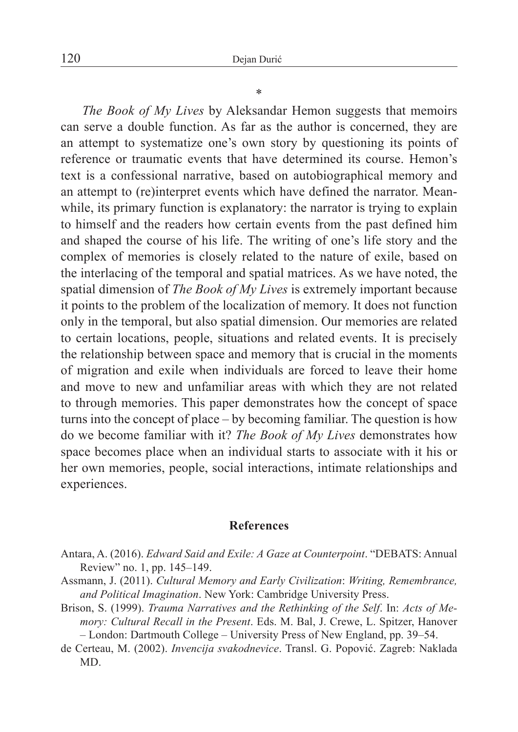\*

*The Book of My Lives* by Aleksandar Hemon suggests that memoirs can serve a double function. As far as the author is concerned, they are an attempt to systematize one's own story by questioning its points of reference or traumatic events that have determined its course. Hemon's text is a confessional narrative, based on autobiographical memory and an attempt to (re)interpret events which have defined the narrator. Meanwhile, its primary function is explanatory: the narrator is trying to explain to himself and the readers how certain events from the past defined him and shaped the course of his life. The writing of one's life story and the complex of memories is closely related to the nature of exile, based on the interlacing of the temporal and spatial matrices. As we have noted, the spatial dimension of *The Book of My Lives* is extremely important because it points to the problem of the localization of memory. It does not function only in the temporal, but also spatial dimension. Our memories are related to certain locations, people, situations and related events. It is precisely the relationship between space and memory that is crucial in the moments of migration and exile when individuals are forced to leave their home and move to new and unfamiliar areas with which they are not related to through memories. This paper demonstrates how the concept of space turns into the concept of place – by becoming familiar. The question is how do we become familiar with it? *The Book of My Lives* demonstrates how space becomes place when an individual starts to associate with it his or her own memories, people, social interactions, intimate relationships and experiences.

## **References**

- Antara, A. (2016). *Edward Said and Exile: A Gaze at Counterpoint*. "DEBATS: Annual Review" no. 1, pp. 145–149.
- Assmann, J. (2011). *Cultural Memory and Early Civilization*: *Writing, Remembrance, and Political Imagination*. New York: Cambridge University Press.
- Brison, S. (1999). *Trauma Narratives and the Rethinking of the Self*. In: *Acts of Memory: Cultural Recall in the Present*. Eds. M. Bal, J. Crewe, L. Spitzer, Hanover – London: Dartmouth College – University Press of New England, pp. 39–54.
- de Certeau, M. (2002). *Invencija svakodnevice*. Transl. G. Popović. Zagreb: Naklada MD.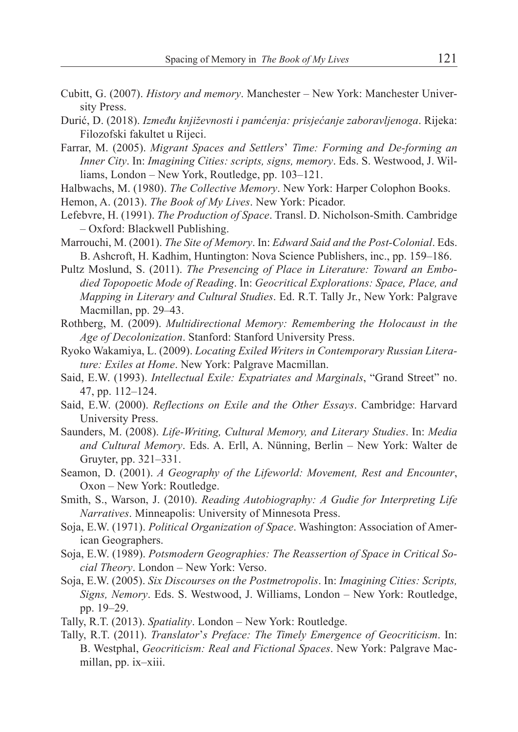- Cubitt, G. (2007). *History and memory*. Manchester New York: Manchester University Press.
- Durić, D. (2018). *Između književnosti i pamćenja: prisjećanje zaboravljenoga*. Rijeka: Filozofski fakultet u Rijeci.
- Farrar, M. (2005). *Migrant Spaces and Settlers*' *Time: Forming and De-forming an Inner City*. In: *Imagining Cities: scripts, signs, memory*. Eds. S. Westwood, J. Williams, London – New York, Routledge, pp. 103–121.
- Halbwachs, M. (1980). *The Collective Memory*. New York: Harper Colophon Books.

Hemon, A. (2013). *The Book of My Lives*. New York: Picador.

- Lefebvre, H. (1991). *The Production of Space*. Transl. D. Nicholson-Smith. Cambridge – Oxford: Blackwell Publishing.
- Marrouchi, M. (2001). *The Site of Memory*. In: *Edward Said and the Post-Colonial*. Eds. B. Ashcroft, H. Kadhim, Huntington: Nova Science Publishers, inc., pp. 159–186.
- Pultz Moslund, S. (2011). *The Presencing of Place in Literature: Toward an Embodied Topopoetic Mode of Reading*. In: *Geocritical Explorations: Space, Place, and Mapping in Literary and Cultural Studies*. Ed. R.T. Tally Jr., New York: Palgrave Macmillan, pp. 29–43.
- Rothberg, M. (2009). *Multidirectional Memory: Remembering the Holocaust in the Age of Decolonization*. Stanford: Stanford University Press.
- Ryoko Wakamiya, L. (2009). *Locating Exiled Writers in Contemporary Russian Literature: Exiles at Home*. New York: Palgrave Macmillan.
- Said, E.W. (1993). *Intellectual Exile: Expatriates and Marginals*, "Grand Street" no. 47, pp. 112–124.
- Said, E.W. (2000). *Reflections on Exile and the Other Essays*. Cambridge: Harvard University Press.
- Saunders, M. (2008). *Life-Writing, Cultural Memory, and Literary Studies*. In: *Media and Cultural Memory*. Eds. A. Erll, A. Nünning, Berlin – New York: Walter de Gruyter, pp. 321–331.
- Seamon, D. (2001). *A Geography of the Lifeworld: Movement, Rest and Encounter*, Oxon – New York: Routledge.
- Smith, S., Warson, J. (2010). *Reading Autobiography: A Gudie for Interpreting Life Narratives*. Minneapolis: University of Minnesota Press.
- Soja, E.W. (1971). *Political Organization of Space*. Washington: Association of American Geographers.
- Soja, E.W. (1989). *Potsmodern Geographies: The Reassertion of Space in Critical Social Theory*. London – New York: Verso.
- Soja, E.W. (2005). *Six Discourses on the Postmetropolis*. In: *Imagining Cities: Scripts, Signs, Nemory*. Eds. S. Westwood, J. Williams, London – New York: Routledge, pp. 19–29.
- Tally, R.T. (2013). *Spatiality*. London New York: Routledge.
- Tally, R.T. (2011). *Translator*'*s Preface: The Timely Emergence of Geocriticism*. In: B. Westphal, *Geocriticism: Real and Fictional Spaces*. New York: Palgrave Macmillan, pp. ix–xiii.